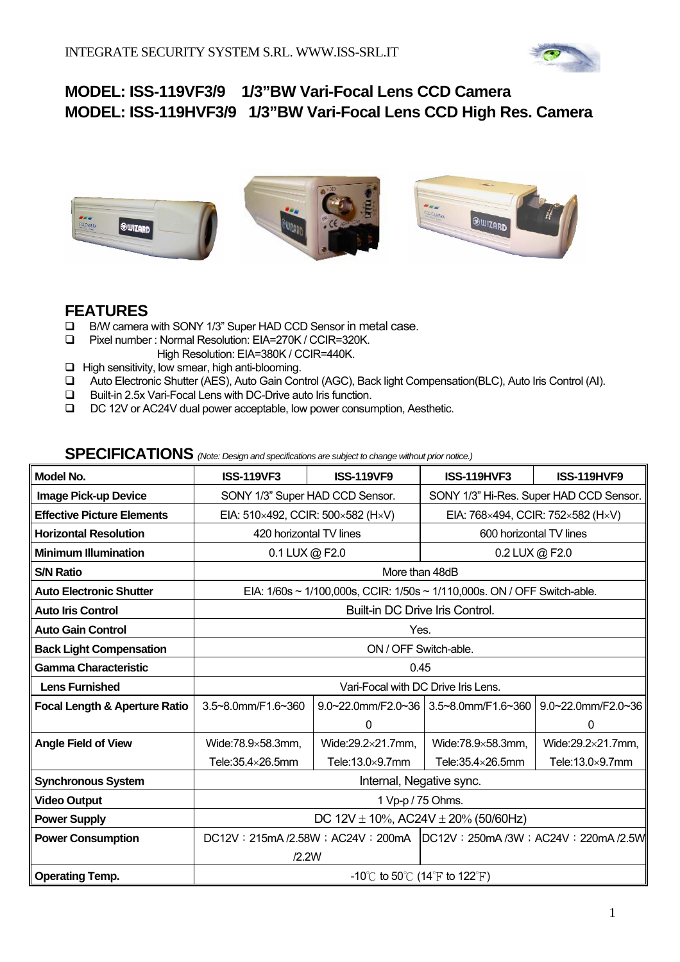

### **MODEL: ISS-119VF3/9 1/3"BW Vari-Focal Lens CCD Camera MODEL: ISS-119HVF3/9 1/3"BW Vari-Focal Lens CCD High Res. Camera**



### **FEATURES**

- □ B/W camera with SONY 1/3" Super HAD CCD Sensor in metal case.
- Pixel number : Normal Resolution: EIA=270K / CCIR=320K. High Resolution: EIA=380K / CCIR=440K.
- $\Box$  High sensitivity, low smear, high anti-blooming.
- Auto Electronic Shutter (AES), Auto Gain Control (AGC), Back light Compensation(BLC), Auto Iris Control (AI).
- Built-in 2.5x Vari-Focal Lens with DC-Drive auto Iris function.
- DC 12V or AC24V dual power acceptable, low power consumption, Aesthetic.

| Model No.                                | <b>ISS-119VF3</b>                              | <b>ISS-119VF9</b>                                                        | <b>ISS-119HVF3</b>                       | <b>ISS-119HVF9</b>                      |
|------------------------------------------|------------------------------------------------|--------------------------------------------------------------------------|------------------------------------------|-----------------------------------------|
| Image Pick-up Device                     | SONY 1/3" Super HAD CCD Sensor.                |                                                                          |                                          | SONY 1/3" Hi-Res. Super HAD CCD Sensor. |
| <b>Effective Picture Elements</b>        | EIA: 510×492, CCIR: 500×582 (H×V)              |                                                                          | EIA: 768×494, CCIR: 752×582 (H×V)        |                                         |
| <b>Horizontal Resolution</b>             | 420 horizontal TV lines                        |                                                                          | 600 horizontal TV lines                  |                                         |
| <b>Minimum Illumination</b>              | 0.1 LUX @ F2.0                                 |                                                                          | 0.2 LUX @ F2.0                           |                                         |
| <b>S/N Ratio</b>                         |                                                | More than 48dB                                                           |                                          |                                         |
| <b>Auto Electronic Shutter</b>           |                                                | EIA: 1/60s ~ 1/100,000s, CCIR: 1/50s ~ 1/110,000s. ON / OFF Switch-able. |                                          |                                         |
| <b>Auto Iris Control</b>                 |                                                | Built-in DC Drive Iris Control.                                          |                                          |                                         |
| <b>Auto Gain Control</b>                 | Yes.                                           |                                                                          |                                          |                                         |
| <b>Back Light Compensation</b>           | ON / OFF Switch-able.                          |                                                                          |                                          |                                         |
| <b>Gamma Characteristic</b>              | 0.45                                           |                                                                          |                                          |                                         |
| <b>Lens Furnished</b>                    | Vari-Focal with DC Drive Iris Lens.            |                                                                          |                                          |                                         |
| <b>Focal Length &amp; Aperture Ratio</b> | 3.5~8.0mm/F1.6~360                             |                                                                          | $9.0~22.0$ mm/F2.0~36 3.5~8.0mm/F1.6~360 | 9.0~22.0mm/F2.0~36                      |
|                                          |                                                | 0                                                                        |                                          | 0                                       |
| <b>Angle Field of View</b>               | Wide:78.9×58.3mm,                              | Wide:29.2×21.7mm,                                                        | Wide:78.9×58.3mm,                        | Wide:29.2×21.7mm,                       |
|                                          | Tele: $35.4\times26.5$ mm                      | Tele: $13.0\times9.7$ mm                                                 | Tele: $35.4\times26.5$ mm                | Tele:13.0×9.7mm                         |
| <b>Synchronous System</b>                | Internal, Negative sync.                       |                                                                          |                                          |                                         |
| <b>Video Output</b>                      | 1 Vp-p / 75 Ohms.                              |                                                                          |                                          |                                         |
| <b>Power Supply</b>                      | DC $12V \pm 10\%$ , AC24V $\pm 20\%$ (50/60Hz) |                                                                          |                                          |                                         |
| <b>Power Consumption</b>                 |                                                | DC12V: 215mA /2.58W; AC24V: 200mA DC12V: 250mA /3W; AC24V: 220mA /2.5W   |                                          |                                         |
|                                          | /2.2W                                          |                                                                          |                                          |                                         |
| <b>Operating Temp.</b>                   | -10°C to 50°C (14°F to 122°F)                  |                                                                          |                                          |                                         |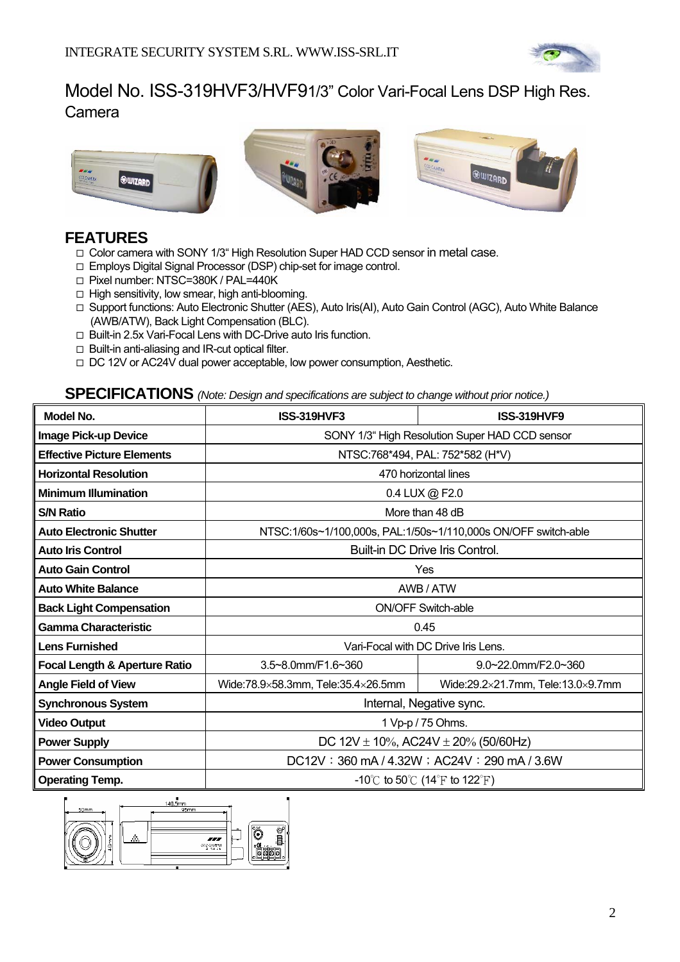

### Model No. ISS-319HVF3/HVF9 1/3" Color Vari-Focal Lens DSP High Res. Camera



### **FEATURES**

- Color camera with SONY 1/3" High Resolution Super HAD CCD sensor in metal case.
- Employs Digital Signal Processor (DSP) chip-set for image control.
- □ Pixel number: NTSC=380K / PAL=440K
- $\Box$  High sensitivity, low smear, high anti-blooming.
- □ Support functions: Auto Electronic Shutter (AES), Auto Iris(AI), Auto Gain Control (AGC), Auto White Balance (AWB/ATW), Back Light Compensation (BLC).
- □ Built-in 2.5x Vari-Focal Lens with DC-Drive auto Iris function.
- $\Box$  Built-in anti-aliasing and IR-cut optical filter.
- □ DC 12V or AC24V dual power acceptable, low power consumption, Aesthetic.

| Model No.                                | <b>ISS-319HVF3</b>                             | <b>ISS-319HVF9</b>                                             |
|------------------------------------------|------------------------------------------------|----------------------------------------------------------------|
| Image Pick-up Device                     | SONY 1/3" High Resolution Super HAD CCD sensor |                                                                |
| <b>Effective Picture Elements</b>        |                                                | NTSC:768*494, PAL: 752*582 (H*V)                               |
| <b>Horizontal Resolution</b>             |                                                | 470 horizontal lines                                           |
| <b>Minimum Illumination</b>              |                                                | 0.4 LUX @ F2.0                                                 |
| <b>S/N Ratio</b>                         |                                                | More than 48 dB                                                |
| <b>Auto Electronic Shutter</b>           |                                                | NTSC:1/60s~1/100,000s, PAL:1/50s~1/110,000s ON/OFF switch-able |
| <b>Auto Iris Control</b>                 |                                                | Built-in DC Drive Iris Control.                                |
| <b>Auto Gain Control</b>                 |                                                | Yes                                                            |
| <b>Auto White Balance</b>                | AWB / ATW                                      |                                                                |
| <b>Back Light Compensation</b>           | <b>ON/OFF Switch-able</b>                      |                                                                |
| <b>Gamma Characteristic</b>              | 0.45                                           |                                                                |
| <b>Lens Furnished</b>                    | Vari-Focal with DC Drive Iris Lens.            |                                                                |
| <b>Focal Length &amp; Aperture Ratio</b> | 3.5~8.0mm/F1.6~360                             | $9.0 - 22.0$ mm/F2.0~360                                       |
| <b>Angle Field of View</b>               | Wide:78.9×58.3mm, Tele:35.4×26.5mm             | Wide:29.2×21.7mm, Tele:13.0×9.7mm                              |
| <b>Synchronous System</b>                | Internal, Negative sync.                       |                                                                |
| <b>Video Output</b>                      | 1 Vp-p / 75 Ohms.                              |                                                                |
| <b>Power Supply</b>                      | DC $12V \pm 10\%$ , AC24V $\pm 20\%$ (50/60Hz) |                                                                |
| <b>Power Consumption</b>                 | DC12V: 360 mA / 4.32W; AC24V: 290 mA / 3.6W    |                                                                |
| <b>Operating Temp.</b>                   | -10°C to 50°C (14°F to 122°F)                  |                                                                |

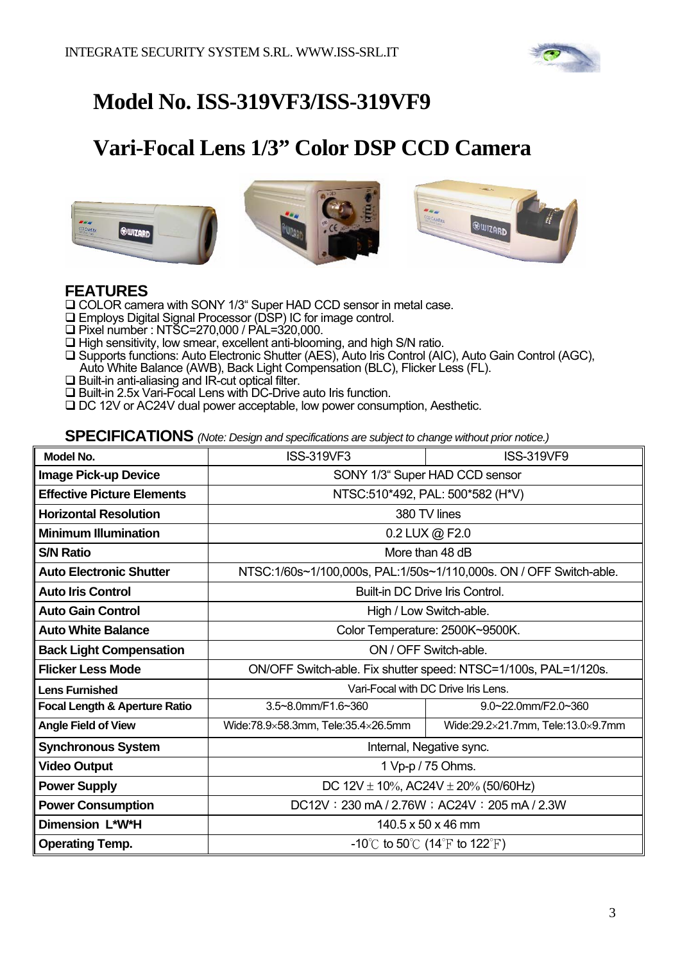

# **Model No. ISS-319VF3/ISS-319VF9**

# **Vari-Focal Lens 1/3" Color DSP CCD Camera**







### **FEATURES**

COLOR camera with SONY 1/3" Super HAD CCD sensor in metal case.

- Employs Digital Signal Processor (DSP) IC for image control.
- □ Pixel number : NTSC=270,000 / PAL=320,000.
- $\Box$  High sensitivity, low smear, excellent anti-blooming, and high S/N ratio.
- □ Supports functions: Auto Electronic Shutter (AES), Auto Iris Control (AIC), Auto Gain Control (AGC), Auto White Balance (AWB), Back Light Compensation (BLC), Flicker Less (FL).
- $\square$  Built-in anti-aliasing and IR-cut optical filter.
- □ Built-in 2.5x Vari-Focal Lens with DC-Drive auto Iris function.
- □ DC 12V or AC24V dual power acceptable, low power consumption, Aesthetic.

| <b>Model No.</b>                         | <b>ISS-319VF3</b>                                               | <b>ISS-319VF9</b>                                                  |  |
|------------------------------------------|-----------------------------------------------------------------|--------------------------------------------------------------------|--|
| <b>Image Pick-up Device</b>              | SONY 1/3" Super HAD CCD sensor                                  |                                                                    |  |
| <b>Effective Picture Elements</b>        |                                                                 | NTSC:510*492, PAL: 500*582 (H*V)                                   |  |
| <b>Horizontal Resolution</b>             |                                                                 | 380 TV lines                                                       |  |
| <b>Minimum Illumination</b>              |                                                                 | 0.2 LUX @ F2.0                                                     |  |
| <b>S/N Ratio</b>                         |                                                                 | More than 48 dB                                                    |  |
| <b>Auto Electronic Shutter</b>           |                                                                 | NTSC:1/60s~1/100,000s, PAL:1/50s~1/110,000s. ON / OFF Switch-able. |  |
| <b>Auto Iris Control</b>                 | Built-in DC Drive Iris Control.                                 |                                                                    |  |
| <b>Auto Gain Control</b>                 | High / Low Switch-able.                                         |                                                                    |  |
| <b>Auto White Balance</b>                | Color Temperature: 2500K~9500K.                                 |                                                                    |  |
| <b>Back Light Compensation</b>           | ON / OFF Switch-able.                                           |                                                                    |  |
| <b>Flicker Less Mode</b>                 | ON/OFF Switch-able. Fix shutter speed: NTSC=1/100s, PAL=1/120s. |                                                                    |  |
| <b>Lens Furnished</b>                    | Vari-Focal with DC Drive Iris Lens.                             |                                                                    |  |
| <b>Focal Length &amp; Aperture Ratio</b> | 3.5~8.0mm/F1.6~360                                              | $9.0 - 22.0$ mm/F2.0~360                                           |  |
| <b>Angle Field of View</b>               | Wide:78.9×58.3mm, Tele:35.4×26.5mm                              | Wide:29.2×21.7mm, Tele:13.0×9.7mm                                  |  |
| <b>Synchronous System</b>                | Internal, Negative sync.                                        |                                                                    |  |
| <b>Video Output</b>                      | 1 Vp-p / 75 Ohms.                                               |                                                                    |  |
| <b>Power Supply</b>                      | DC 12V $\pm$ 10%, AC24V $\pm$ 20% (50/60Hz)                     |                                                                    |  |
| <b>Power Consumption</b>                 | DC12V: 230 mA / 2.76W; AC24V: 205 mA / 2.3W                     |                                                                    |  |
| Dimension L*W*H                          | 140.5 x 50 x 46 mm                                              |                                                                    |  |
| <b>Operating Temp.</b>                   | -10°C to 50°C (14°F to 122°F)                                   |                                                                    |  |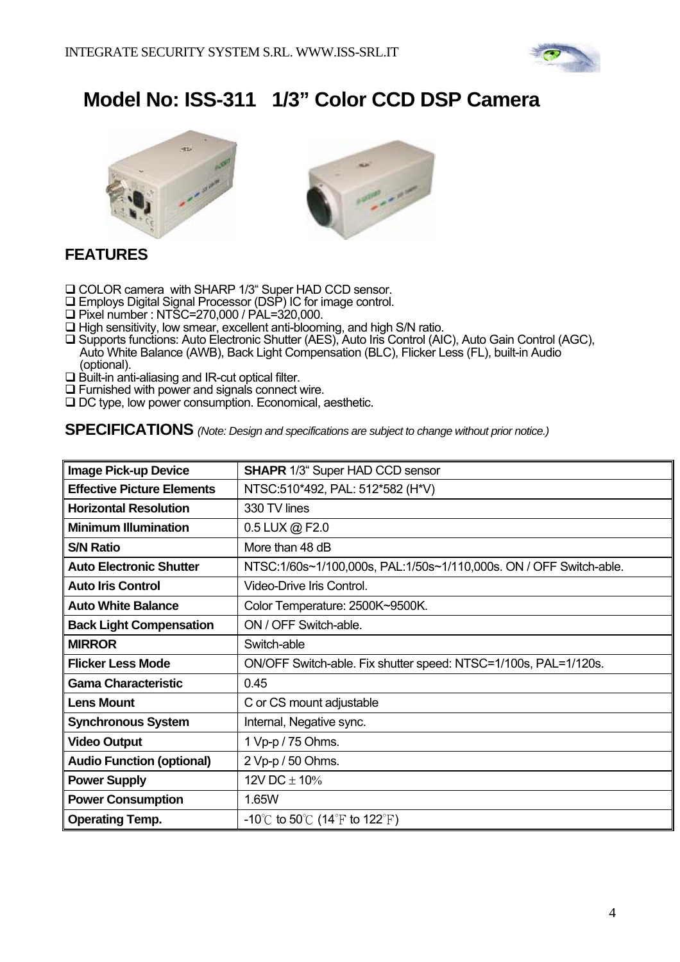

# **Model No: ISS-311 1/3" Color CCD DSP Camera**





# **FEATURES**

- □ COLOR camera with SHARP 1/3" Super HAD CCD sensor.
- Employs Digital Signal Processor (DSP) IC for image control.
- Pixel number : NTSC=270,000 / PAL=320,000.
- $\Box$  High sensitivity, low smear, excellent anti-blooming, and high S/N ratio.
- □ Supports functions: Auto Electronic Shutter (AES), Auto Iris Control (AIC), Auto Gain Control (AGC), Auto White Balance (AWB), Back Light Compensation (BLC), Flicker Less (FL), built-in Audio (optional).
- $\Box$  Built-in anti-aliasing and IR-cut optical filter.
- $\square$  Furnished with power and signals connect wire.
- □ DC type, low power consumption. Economical, aesthetic.

| <b>Image Pick-up Device</b>       | <b>SHAPR 1/3" Super HAD CCD sensor</b>                             |
|-----------------------------------|--------------------------------------------------------------------|
| <b>Effective Picture Elements</b> | NTSC:510*492, PAL: 512*582 (H*V)                                   |
| <b>Horizontal Resolution</b>      | 330 TV lines                                                       |
| <b>Minimum Illumination</b>       | 0.5 LUX @ F2.0                                                     |
| <b>S/N Ratio</b>                  | More than 48 dB                                                    |
| <b>Auto Electronic Shutter</b>    | NTSC:1/60s~1/100,000s, PAL:1/50s~1/110,000s. ON / OFF Switch-able. |
| <b>Auto Iris Control</b>          | Video-Drive Iris Control.                                          |
| <b>Auto White Balance</b>         | Color Temperature: 2500K~9500K.                                    |
| <b>Back Light Compensation</b>    | ON / OFF Switch-able.                                              |
| <b>MIRROR</b>                     | Switch-able                                                        |
| <b>Flicker Less Mode</b>          | ON/OFF Switch-able. Fix shutter speed: NTSC=1/100s, PAL=1/120s.    |
| <b>Gama Characteristic</b>        | 0.45                                                               |
| <b>Lens Mount</b>                 | C or CS mount adjustable                                           |
| <b>Synchronous System</b>         | Internal, Negative sync.                                           |
| <b>Video Output</b>               | 1 Vp-p / 75 Ohms.                                                  |
| <b>Audio Function (optional)</b>  | 2 Vp-p / 50 Ohms.                                                  |
| <b>Power Supply</b>               | 12V DC $\pm$ 10%                                                   |
| <b>Power Consumption</b>          | 1.65W                                                              |
| <b>Operating Temp.</b>            | -10°C to 50°C (14°F to 122°F)                                      |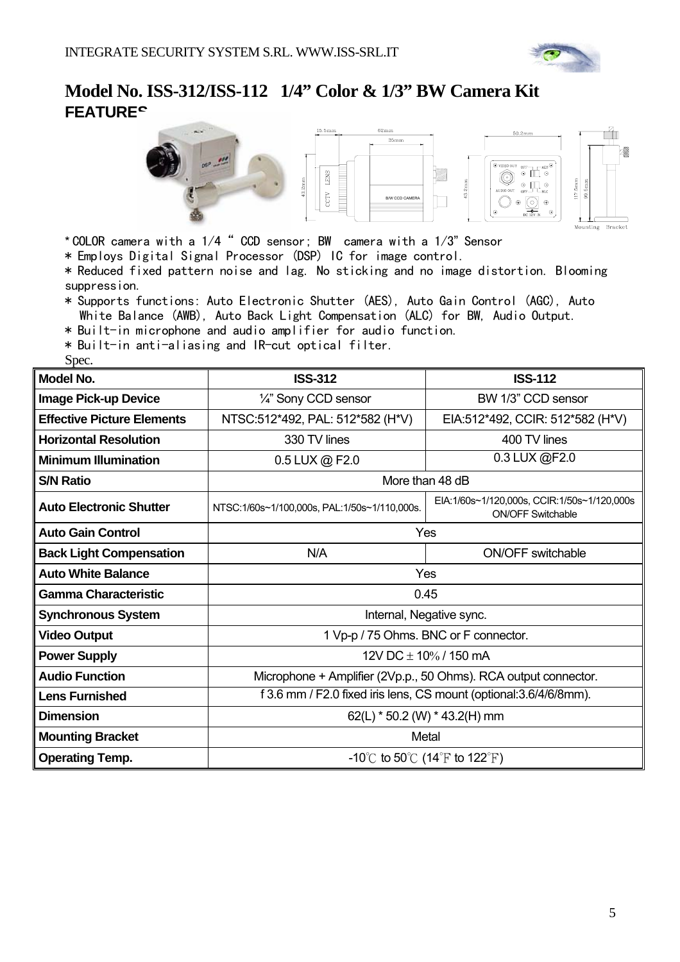

### **Model No. ISS-312/ISS-112 1/4" Color & 1/3" BW Camera Kit FEATURE**<sup>c</sup>



- \* COLOR camera with a 1/4" CCD sensor; BW camera with a 1/3" Sensor
- \* Employs Digital Signal Processor (DSP) IC for image control.
- \* Reduced fixed pattern noise and lag. No sticking and no image distortion. Blooming suppression.
- \* Supports functions: Auto Electronic Shutter (AES), Auto Gain Control (AGC), Auto White Balance (AWB), Auto Back Light Compensation (ALC) for BW, Audio Output.
- \* Built-in microphone and audio amplifier for audio function.
- \* Built-in anti-aliasing and IR-cut optical filter.

Spec.

| Model No.                         | <b>ISS-312</b>                                                     | <b>ISS-112</b>                                                          |
|-----------------------------------|--------------------------------------------------------------------|-------------------------------------------------------------------------|
| <b>Image Pick-up Device</b>       | 1/4" Sony CCD sensor                                               | BW 1/3" CCD sensor                                                      |
| <b>Effective Picture Elements</b> | NTSC:512*492, PAL: 512*582 (H*V)                                   | EIA:512*492, CCIR: 512*582 (H*V)                                        |
| <b>Horizontal Resolution</b>      | 330 TV lines                                                       | 400 TV lines                                                            |
| <b>Minimum Illumination</b>       | 0.5 LUX @ F2.0                                                     | 0.3 LUX @F2.0                                                           |
| <b>S/N Ratio</b>                  | More than 48 dB                                                    |                                                                         |
| <b>Auto Electronic Shutter</b>    | NTSC:1/60s~1/100,000s, PAL:1/50s~1/110,000s.                       | EIA:1/60s~1/120,000s, CCIR:1/50s~1/120,000s<br><b>ON/OFF Switchable</b> |
| <b>Auto Gain Control</b>          | Yes                                                                |                                                                         |
| <b>Back Light Compensation</b>    | N/A                                                                | <b>ON/OFF switchable</b>                                                |
| <b>Auto White Balance</b>         | Yes                                                                |                                                                         |
| <b>Gamma Characteristic</b>       | 0.45                                                               |                                                                         |
| <b>Synchronous System</b>         | Internal, Negative sync.                                           |                                                                         |
| <b>Video Output</b>               | 1 Vp-p / 75 Ohms. BNC or F connector.                              |                                                                         |
| <b>Power Supply</b>               | 12V DC $\pm$ 10% / 150 mA                                          |                                                                         |
| <b>Audio Function</b>             | Microphone + Amplifier (2Vp.p., 50 Ohms). RCA output connector.    |                                                                         |
| <b>Lens Furnished</b>             | f 3.6 mm / F2.0 fixed iris lens, CS mount (optional: 3.6/4/6/8mm). |                                                                         |
| <b>Dimension</b>                  | 62(L) $*$ 50.2 (W) $*$ 43.2(H) mm                                  |                                                                         |
| <b>Mounting Bracket</b>           | Metal                                                              |                                                                         |
| <b>Operating Temp.</b>            | -10°C to 50°C (14°F to 122°F)                                      |                                                                         |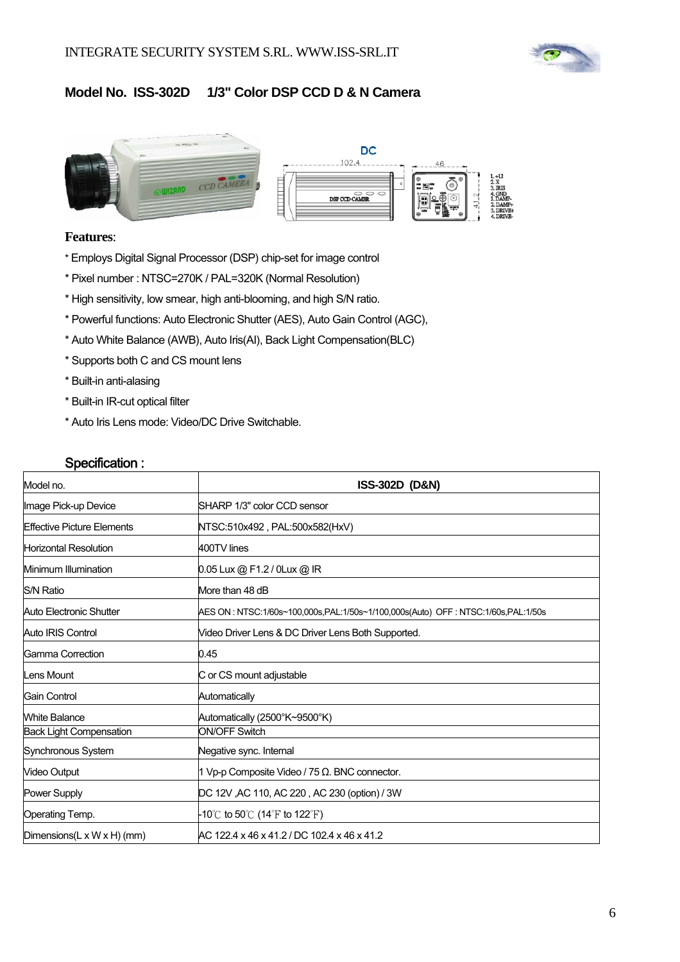

### **Model No. ISS-302D 1/3" Color DSP CCD D & N Camera**



#### **Features**:

- \* Employs Digital Signal Processor (DSP) chip-set for image control
- \* Pixel number : NTSC=270K / PAL=320K (Normal Resolution)
- \* High sensitivity, low smear, high anti-blooming, and high S/N ratio.
- \* Powerful functions: Auto Electronic Shutter (AES), Auto Gain Control (AGC),
- \* Auto White Balance (AWB), Auto Iris(AI), Back Light Compensation(BLC)
- \* Supports both C and CS mount lens
- \* Built-in anti-alasing
- \* Built-in IR-cut optical filter
- \* Auto Iris Lens mode: Video/DC Drive Switchable.

| Model no.                                | <b>ISS-302D (D&amp;N)</b>                                                          |
|------------------------------------------|------------------------------------------------------------------------------------|
| Image Pick-up Device                     | SHARP 1/3" color CCD sensor                                                        |
| <b>Effective Picture Elements</b>        | NTSC:510x492 , PAL:500x582(HxV)                                                    |
| <b>Horizontal Resolution</b>             | 400TV lines                                                                        |
| Minimum Illumination                     | 0.05 Lux @ F1.2 / 0Lux @ IR                                                        |
| <b>S/N Ratio</b>                         | More than 48 dB                                                                    |
| Auto Electronic Shutter                  | AES ON : NTSC:1/60s~100,000s,PAL:1/50s~1/100,000s(Auto)_OFF : NTSC:1/60s,PAL:1/50s |
| Auto IRIS Control                        | Video Driver Lens & DC Driver Lens Both Supported.                                 |
| Gamma Correction                         | 0.45                                                                               |
| Lens Mount                               | C or CS mount adjustable                                                           |
| Gain Control                             | Automatically                                                                      |
| <b>White Balance</b>                     | Automatically (2500°K~9500°K)                                                      |
| <b>Back Light Compensation</b>           | <b>ON/OFF Switch</b>                                                               |
| Synchronous System                       | Negative sync. Internal                                                            |
| <b>Video Output</b>                      | 1 Vp-p Composite Video / 75 Ω. BNC connector.                                      |
| Power Supply                             | DC 12V, AC 110, AC 220, AC 230 (option) / 3W                                       |
| Operating Temp.                          | -10℃ to 50℃ (14°F to 122°F)                                                        |
| Dimensions( $L \times W \times H$ ) (mm) | AC 122.4 x 46 x 41.2 / DC 102.4 x 46 x 41.2                                        |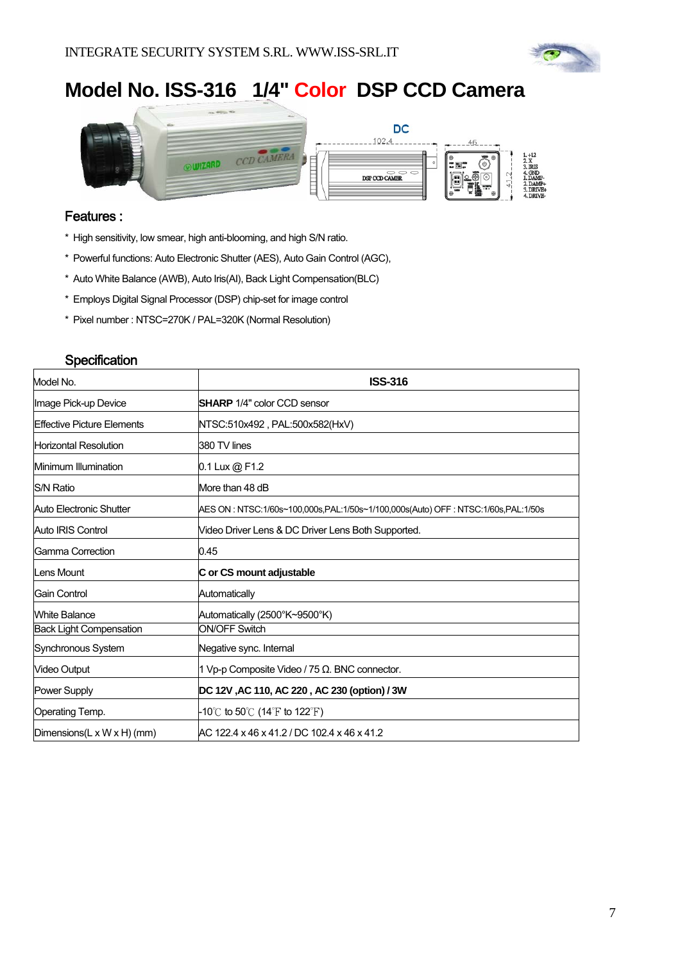

# **Model No. ISS-316 1/4" Color DSP CCD Camera**



#### Features :

- \* High sensitivity, low smear, high anti-blooming, and high S/N ratio.
- \* Powerful functions: Auto Electronic Shutter (AES), Auto Gain Control (AGC),
- \* Auto White Balance (AWB), Auto Iris(AI), Back Light Compensation(BLC)
- \* Employs Digital Signal Processor (DSP) chip-set for image control
- \* Pixel number : NTSC=270K / PAL=320K (Normal Resolution)

| Model No.                                | <b>ISS-316</b>                                                                     |  |
|------------------------------------------|------------------------------------------------------------------------------------|--|
| Image Pick-up Device                     | <b>SHARP</b> 1/4" color CCD sensor                                                 |  |
| Effective Picture Elements               | NTSC:510x492 , PAL:500x582(HxV)                                                    |  |
| Horizontal Resolution                    | 380 TV lines                                                                       |  |
| Minimum Illumination                     | 0.1 Lux @ F1.2                                                                     |  |
| <b>S/N Ratio</b>                         | More than 48 dB                                                                    |  |
| Auto Electronic Shutter                  | AES ON : NTSC:1/60s~100,000s.PAL:1/50s~1/100,000s(Auto) OFF : NTSC:1/60s.PAL:1/50s |  |
| Auto IRIS Control                        | Video Driver Lens & DC Driver Lens Both Supported.                                 |  |
| Gamma Correction                         | 0.45                                                                               |  |
| lLens Mount                              | C or CS mount adjustable                                                           |  |
| lGain Control                            | Automatically                                                                      |  |
| <b>White Balance</b>                     | Automatically (2500°K~9500°K)                                                      |  |
| <b>Back Light Compensation</b>           | <b>ON/OFF Switch</b>                                                               |  |
| Synchronous System                       | Negative sync. Internal                                                            |  |
| Video Output                             | 1 Vp-p Composite Video / 75 $\Omega$ . BNC connector.                              |  |
| Power Supply                             | DC 12V, AC 110, AC 220, AC 230 (option) / 3W                                       |  |
| Operating Temp.                          | -10℃ to 50℃ (14°F to 122°F)                                                        |  |
| Dimensions( $L \times W \times H$ ) (mm) | AC 122.4 x 46 x 41.2 / DC 102.4 x 46 x 41.2                                        |  |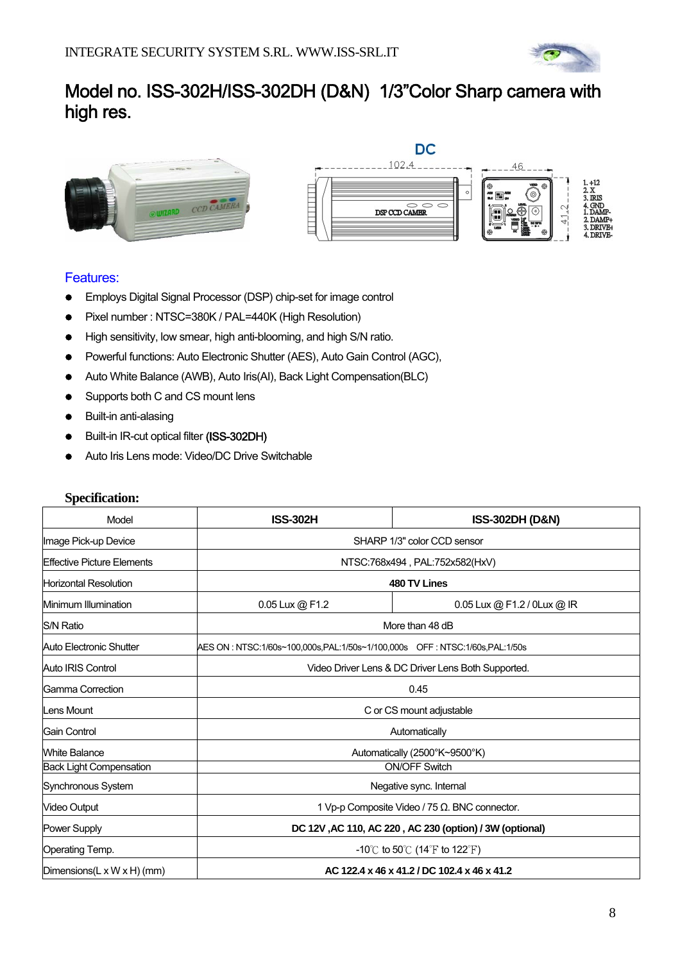

# Model no. ISS-302H/ISS-302DH (D&N) 1/3"Color Sharp camera with high res.



#### Features:

- **•** Employs Digital Signal Processor (DSP) chip-set for image control
- Pixel number : NTSC=380K / PAL=440K (High Resolution)
- High sensitivity, low smear, high anti-blooming, and high S/N ratio.
- Powerful functions: Auto Electronic Shutter (AES), Auto Gain Control (AGC),
- Auto White Balance (AWB), Auto Iris(AI), Back Light Compensation(BLC)
- Supports both C and CS mount lens
- Built-in anti-alasing
- Built-in IR-cut optical filter (ISS-302DH)
- Auto Iris Lens mode: Video/DC Drive Switchable

| Model                                    | <b>ISS-302H</b>                                         | <b>ISS-302DH (D&amp;N)</b>                                                   |  |
|------------------------------------------|---------------------------------------------------------|------------------------------------------------------------------------------|--|
| Image Pick-up Device                     | SHARP 1/3" color CCD sensor                             |                                                                              |  |
| Effective Picture Elements               | NTSC:768x494, PAL:752x582(HxV)                          |                                                                              |  |
| <b>Horizontal Resolution</b>             |                                                         | 480 TV Lines                                                                 |  |
| Minimum Illumination                     | 0.05 Lux @ F1.2                                         | 0.05 Lux @ F1.2 / 0Lux @ IR                                                  |  |
| <b>S/N Ratio</b>                         |                                                         | More than 48 dB                                                              |  |
| Auto Electronic Shutter                  |                                                         | AES ON : NTSC:1/60s~100.000s.PAL:1/50s~1/100.000s OFF : NTSC:1/60s.PAL:1/50s |  |
| Auto IRIS Control                        |                                                         | Video Driver Lens & DC Driver Lens Both Supported.                           |  |
| Gamma Correction                         | 0.45                                                    |                                                                              |  |
| Lens Mount                               | C or CS mount adjustable                                |                                                                              |  |
| Gain Control                             |                                                         | Automatically                                                                |  |
| White Balance                            | Automatically (2500°K~9500°K)                           |                                                                              |  |
| <b>Back Light Compensation</b>           | <b>ON/OFF Switch</b>                                    |                                                                              |  |
| Synchronous System                       | Negative sync. Internal                                 |                                                                              |  |
| Video Output                             | 1 Vp-p Composite Video / 75 Ω. BNC connector.           |                                                                              |  |
| <b>Power Supply</b>                      | DC 12V, AC 110, AC 220, AC 230 (option) / 3W (optional) |                                                                              |  |
| Operating Temp.                          |                                                         | -10°C to 50°C (14°F to 122°F)                                                |  |
| Dimensions(L $\times$ W $\times$ H) (mm) | AC 122.4 x 46 x 41.2 / DC 102.4 x 46 x 41.2             |                                                                              |  |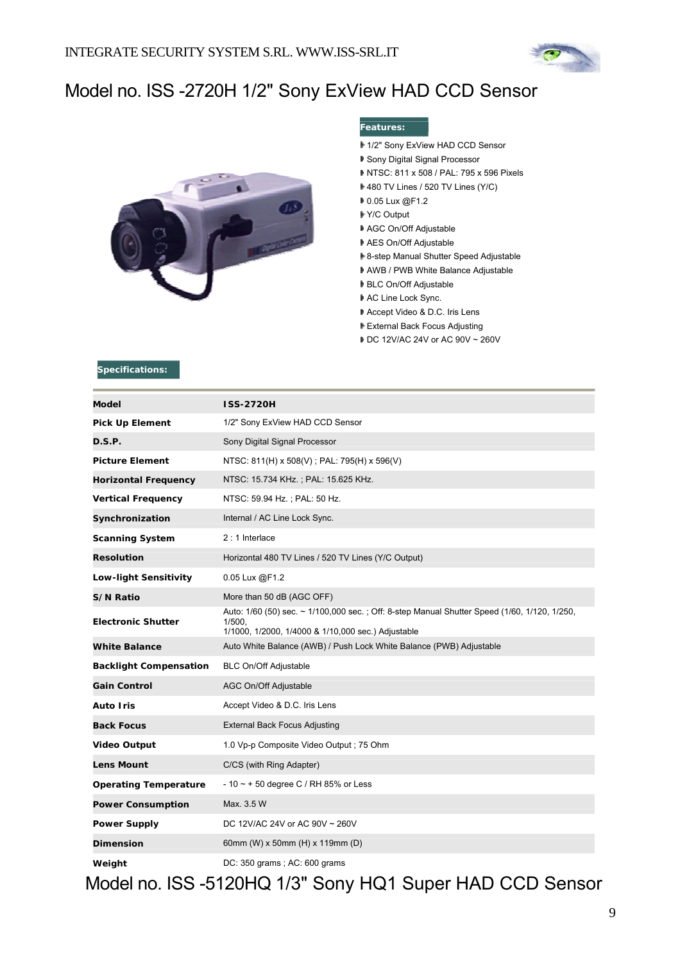

# Model no. ISS -2720H 1/2" Sony ExView HAD CCD Sensor



#### **Features:**

- 1/2" Sony ExView HAD CCD Sensor
- Sony Digital Signal Processor
- NTSC: 811 x 508 / PAL: 795 x 596 Pixels
- 480 TV Lines / 520 TV Lines (Y/C)
- **0.05 Lux @F1.2**
- Y/C Output
- AGC On/Off Adjustable
- AES On/Off Adjustable
- 8-step Manual Shutter Speed Adjustable
- AWB / PWB White Balance Adjustable
- BLC On/Off Adjustable
- AC Line Lock Sync.
- Accept Video & D.C. Iris Lens
- External Back Focus Adjusting
- DC 12V/AC 24V or AC 90V ~ 260V

#### **Specifications:**

| <b>Model</b>                  | <b>ISS-2720H</b>                                                                                                                                             |
|-------------------------------|--------------------------------------------------------------------------------------------------------------------------------------------------------------|
| <b>Pick Up Element</b>        | 1/2" Sony ExView HAD CCD Sensor                                                                                                                              |
| D.S.P.                        | Sony Digital Signal Processor                                                                                                                                |
| <b>Picture Element</b>        | NTSC: 811(H) x 508(V); PAL: 795(H) x 596(V)                                                                                                                  |
| <b>Horizontal Frequency</b>   | NTSC: 15.734 KHz.; PAL: 15.625 KHz.                                                                                                                          |
| <b>Vertical Frequency</b>     | NTSC: 59.94 Hz.; PAL: 50 Hz.                                                                                                                                 |
| Synchronization               | Internal / AC Line Lock Sync.                                                                                                                                |
| <b>Scanning System</b>        | 2:1 Interlace                                                                                                                                                |
| <b>Resolution</b>             | Horizontal 480 TV Lines / 520 TV Lines (Y/C Output)                                                                                                          |
| Low-light Sensitivity         | 0.05 Lux @F1.2                                                                                                                                               |
| <b>S/N Ratio</b>              | More than 50 dB (AGC OFF)                                                                                                                                    |
| <b>Electronic Shutter</b>     | Auto: 1/60 (50) sec. ~ 1/100,000 sec.; Off: 8-step Manual Shutter Speed (1/60, 1/120, 1/250,<br>1/500.<br>1/1000, 1/2000, 1/4000 & 1/10,000 sec.) Adjustable |
| <b>White Balance</b>          | Auto White Balance (AWB) / Push Lock White Balance (PWB) Adjustable                                                                                          |
| <b>Backlight Compensation</b> | <b>BLC On/Off Adjustable</b>                                                                                                                                 |
| <b>Gain Control</b>           | AGC On/Off Adjustable                                                                                                                                        |
| Auto Iris                     | Accept Video & D.C. Iris Lens                                                                                                                                |
| <b>Back Focus</b>             | <b>External Back Focus Adjusting</b>                                                                                                                         |
| <b>Video Output</b>           | 1.0 Vp-p Composite Video Output; 75 Ohm                                                                                                                      |
| <b>Lens Mount</b>             | C/CS (with Ring Adapter)                                                                                                                                     |
| <b>Operating Temperature</b>  | $-10 \sim +50$ degree C / RH 85% or Less                                                                                                                     |
| <b>Power Consumption</b>      | Max. 3.5 W                                                                                                                                                   |
| <b>Power Supply</b>           | DC 12V/AC 24V or AC 90V ~ 260V                                                                                                                               |
| <b>Dimension</b>              | 60mm (W) x 50mm (H) x 119mm (D)                                                                                                                              |
| Weight                        | DC: 350 grams; AC: 600 grams                                                                                                                                 |

Model no. ISS -5120HQ 1/3" Sony HQ1 Super HAD CCD Sensor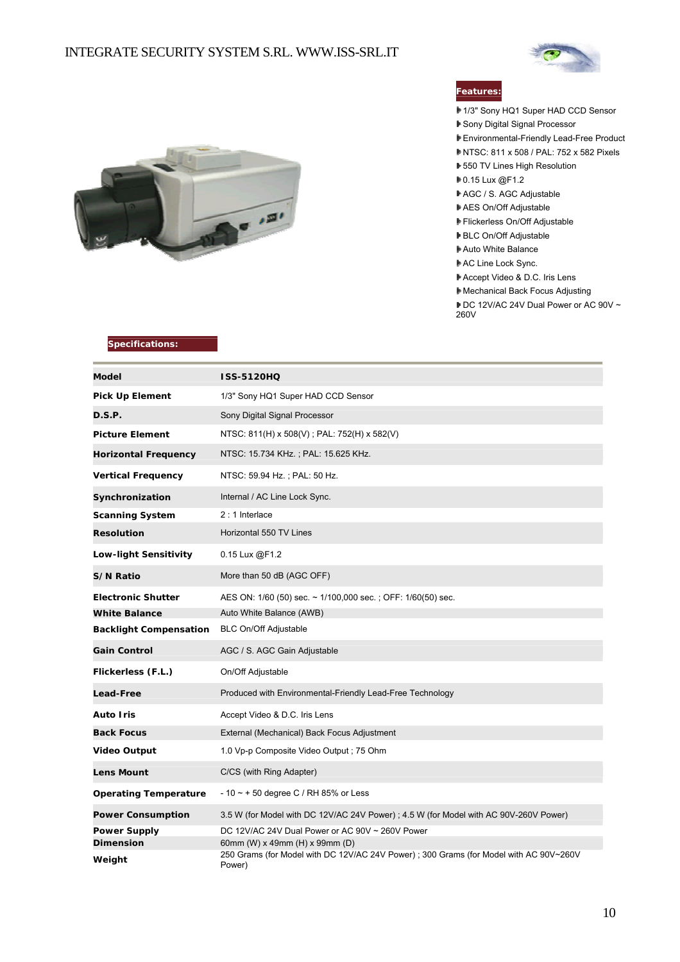#### INTEGRATE SECURITY SYSTEM S.RL. WWW.ISS-SRL.IT





#### **Features:**

- 1/3" Sony HQ1 Super HAD CCD Sensor
- Sony Digital Signal Processor
- Environmental-Friendly Lead-Free Product
- NTSC: 811 x 508 / PAL: 752 x 582 Pixels
- 550 TV Lines High Resolution
- 0.15 Lux @F1.2
- AGC / S. AGC Adjustable
- AES On/Off Adjustable
- Flickerless On/Off Adjustable
- BLC On/Off Adjustable
- Auto White Balance
- AC Line Lock Sync.
- Accept Video & D.C. Iris Lens
- Mechanical Back Focus Adjusting
- DC 12V/AC 24V Dual Power or AC 90V ~ 260V

| Model                                   | <b>ISS-5120HQ</b>                                                                               |
|-----------------------------------------|-------------------------------------------------------------------------------------------------|
| Pick Up Element                         | 1/3" Sony HQ1 Super HAD CCD Sensor                                                              |
| <b>D.S.P.</b>                           | Sony Digital Signal Processor                                                                   |
| <b>Picture Element</b>                  | NTSC: 811(H) x 508(V); PAL: 752(H) x 582(V)                                                     |
| <b>Horizontal Frequency</b>             | NTSC: 15.734 KHz.; PAL: 15.625 KHz.                                                             |
| <b>Vertical Frequency</b>               | NTSC: 59.94 Hz.; PAL: 50 Hz.                                                                    |
| Synchronization                         | Internal / AC Line Lock Sync.                                                                   |
| <b>Scanning System</b>                  | $2:1$ Interlace                                                                                 |
| <b>Resolution</b>                       | Horizontal 550 TV Lines                                                                         |
| <b>Low-light Sensitivity</b>            | $0.15$ Lux $@F1.2$                                                                              |
| <b>S/N Ratio</b>                        | More than 50 dB (AGC OFF)                                                                       |
| <b>Electronic Shutter</b>               | AES ON: 1/60 (50) sec. ~ 1/100,000 sec.; OFF: 1/60(50) sec.                                     |
| <b>White Balance</b>                    | Auto White Balance (AWB)                                                                        |
| <b>Backlight Compensation</b>           | <b>BLC On/Off Adjustable</b>                                                                    |
| <b>Gain Control</b>                     | AGC / S. AGC Gain Adjustable                                                                    |
| Flickerless (F.L.)                      | On/Off Adjustable                                                                               |
| <b>Lead-Free</b>                        | Produced with Environmental-Friendly Lead-Free Technology                                       |
| Auto Iris                               | Accept Video & D.C. Iris Lens                                                                   |
| <b>Back Focus</b>                       | External (Mechanical) Back Focus Adjustment                                                     |
| <b>Video Output</b>                     | 1.0 Vp-p Composite Video Output; 75 Ohm                                                         |
| Lens Mount                              | C/CS (with Ring Adapter)                                                                        |
| <b>Operating Temperature</b>            | $-10 \sim +50$ degree C / RH 85% or Less                                                        |
| <b>Power Consumption</b>                | 3.5 W (for Model with DC 12V/AC 24V Power); 4.5 W (for Model with AC 90V-260V Power)            |
| <b>Power Supply</b><br><b>Dimension</b> | DC 12V/AC 24V Dual Power or AC 90V ~ 260V Power<br>60mm (W) x 49mm (H) x 99mm (D)               |
| Weight                                  | 250 Grams (for Model with DC 12V/AC 24V Power); 300 Grams (for Model with AC 90V~260V<br>Power) |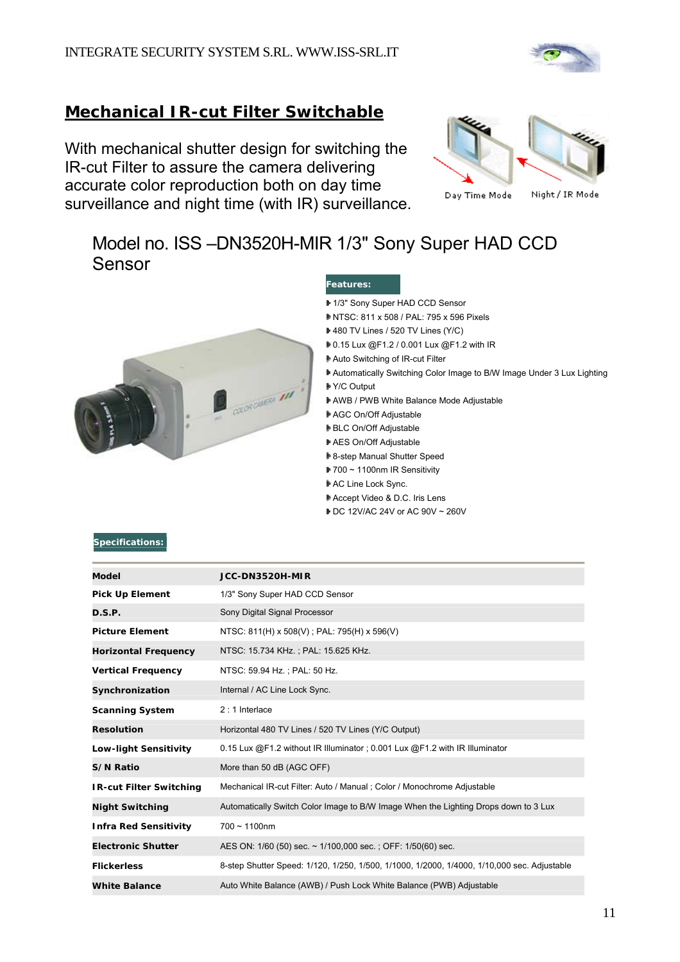

### **Mechanical IR-cut Filter Switchable**

With mechanical shutter design for switching the IR-cut Filter to assure the camera delivering accurate color reproduction both on day time surveillance and night time (with IR) surveillance.



# Model no. ISS –DN3520H-MIR 1/3" Sony Super HAD CCD Sensor



#### **Features:**

- 1/3" Sony Super HAD CCD Sensor
- NTSC: 811 x 508 / PAL: 795 x 596 Pixels
- 480 TV Lines / 520 TV Lines (Y/C)
- 0.15 Lux @F1.2 / 0.001 Lux @F1.2 with IR
- Auto Switching of IR-cut Filter
- Automatically Switching Color Image to B/W Image Under 3 Lux Lighting
- Y/C Output
- AWB / PWB White Balance Mode Adjustable
- AGC On/Off Adjustable
- BLC On/Off Adjustable
- AES On/Off Adjustable
- **▶ 8-step Manual Shutter Speed**
- 700 ~ 1100nm IR Sensitivity
- AC Line Lock Sync.
- Accept Video & D.C. Iris Lens
- DC 12V/AC 24V or AC 90V ~ 260V

| Model                          | JCC-DN3520H-MIR                                                                             |
|--------------------------------|---------------------------------------------------------------------------------------------|
| Pick Up Element                | 1/3" Sony Super HAD CCD Sensor                                                              |
| D.S.P.                         | Sony Digital Signal Processor                                                               |
| <b>Picture Element</b>         | NTSC: 811(H) x 508(V); PAL: 795(H) x 596(V)                                                 |
| <b>Horizontal Frequency</b>    | NTSC: 15.734 KHz.; PAL: 15.625 KHz.                                                         |
| <b>Vertical Frequency</b>      | NTSC: 59.94 Hz.; PAL: 50 Hz.                                                                |
| Synchronization                | Internal / AC Line Lock Sync.                                                               |
| <b>Scanning System</b>         | $2:1$ Interlace                                                                             |
| <b>Resolution</b>              | Horizontal 480 TV Lines / 520 TV Lines (Y/C Output)                                         |
| <b>Low-light Sensitivity</b>   | 0.15 Lux $@F1.2$ without IR Illuminator; 0.001 Lux $@F1.2$ with IR Illuminator              |
| <b>S/N Ratio</b>               | More than 50 dB (AGC OFF)                                                                   |
| <b>IR-cut Filter Switching</b> | Mechanical IR-cut Filter: Auto / Manual ; Color / Monochrome Adjustable                     |
| <b>Night Switching</b>         | Automatically Switch Color Image to B/W Image When the Lighting Drops down to 3 Lux         |
| <b>Infra Red Sensitivity</b>   | $700 \sim 1100$ nm                                                                          |
| <b>Electronic Shutter</b>      | AES ON: 1/60 (50) sec. ~ 1/100,000 sec. ; OFF: 1/50(60) sec.                                |
| <b>Flickerless</b>             | 8-step Shutter Speed: 1/120, 1/250, 1/500, 1/1000, 1/2000, 1/4000, 1/10,000 sec. Adjustable |
| <b>White Balance</b>           | Auto White Balance (AWB) / Push Lock White Balance (PWB) Adjustable                         |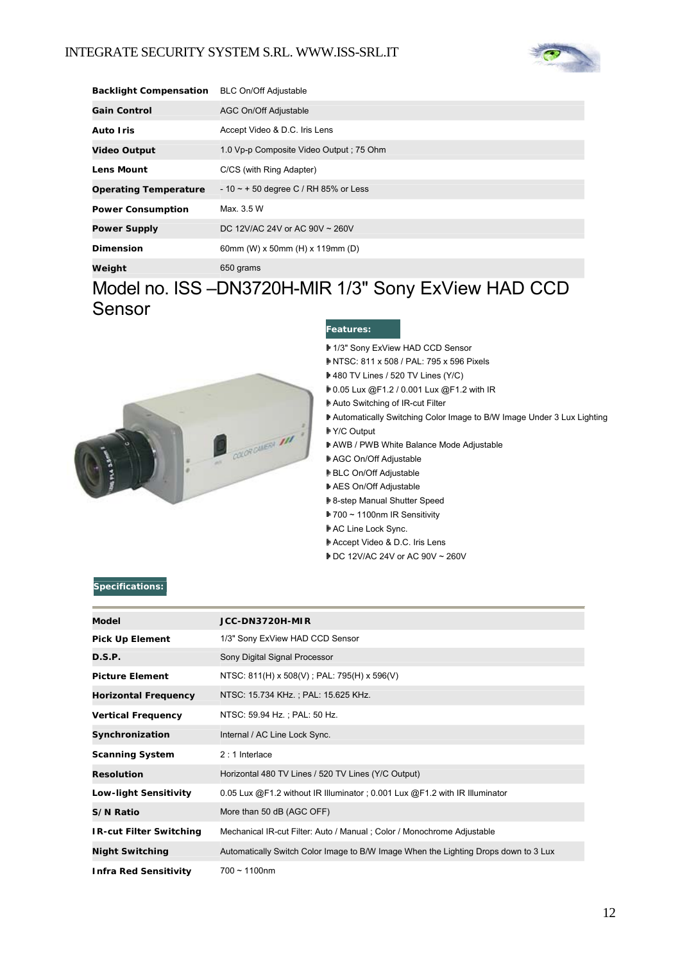

| <b>Backlight Compensation</b> | <b>BLC On/Off Adjustable</b>             |
|-------------------------------|------------------------------------------|
| <b>Gain Control</b>           | AGC On/Off Adjustable                    |
| <b>Auto Iris</b>              | Accept Video & D.C. Iris Lens            |
| <b>Video Output</b>           | 1.0 Vp-p Composite Video Output : 75 Ohm |
| <b>Lens Mount</b>             | C/CS (with Ring Adapter)                 |
| <b>Operating Temperature</b>  | $-10 \sim +50$ degree C / RH 85% or Less |
| <b>Power Consumption</b>      | Max. 3.5 W                               |
| <b>Power Supply</b>           | DC 12V/AC 24V or AC 90V ~ 260V           |
| <b>Dimension</b>              | 60mm (W) x 50mm (H) x 119mm (D)          |
| Weight                        | 650 grams                                |

# Model no. ISS –DN3720H-MIR 1/3" Sony ExView HAD CCD Sensor



#### **Features:**

- 1/3" Sony ExView HAD CCD Sensor
- NTSC: 811 x 508 / PAL: 795 x 596 Pixels
	- 480 TV Lines / 520 TV Lines (Y/C)
	- 0.05 Lux @F1.2 / 0.001 Lux @F1.2 with IR
- Auto Switching of IR-cut Filter
- Automatically Switching Color Image to B/W Image Under 3 Lux Lighting
- Y/C Output
- AWB / PWB White Balance Mode Adjustable
- AGC On/Off Adjustable
- BLC On/Off Adjustable
- AES On/Off Adjustable
- **▶ 8-step Manual Shutter Speed**
- 700 ~ 1100nm IR Sensitivity
- AC Line Lock Sync.
- Accept Video & D.C. Iris Lens
- DC 12V/AC 24V or AC 90V ~ 260V

| Model                          | JCC-DN3720H-MIR                                                                     |
|--------------------------------|-------------------------------------------------------------------------------------|
| <b>Pick Up Element</b>         | 1/3" Sony ExView HAD CCD Sensor                                                     |
| D.S.P.                         | Sony Digital Signal Processor                                                       |
| <b>Picture Element</b>         | NTSC: 811(H) x 508(V); PAL: 795(H) x 596(V)                                         |
| <b>Horizontal Frequency</b>    | NTSC: 15.734 KHz.; PAL: 15.625 KHz.                                                 |
| <b>Vertical Frequency</b>      | NTSC: 59.94 Hz.; PAL: 50 Hz.                                                        |
| Synchronization                | Internal / AC Line Lock Sync.                                                       |
| <b>Scanning System</b>         | $2:1$ Interlace                                                                     |
| <b>Resolution</b>              | Horizontal 480 TV Lines / 520 TV Lines (Y/C Output)                                 |
| <b>Low-light Sensitivity</b>   | 0.05 Lux @F1.2 without IR Illuminator; 0.001 Lux @F1.2 with IR Illuminator          |
| S/N Ratio                      | More than 50 dB (AGC OFF)                                                           |
| <b>IR-cut Filter Switching</b> | Mechanical IR-cut Filter: Auto / Manual ; Color / Monochrome Adjustable             |
| <b>Night Switching</b>         | Automatically Switch Color Image to B/W Image When the Lighting Drops down to 3 Lux |
| <b>Infra Red Sensitivity</b>   | $700 - 1100$ nm                                                                     |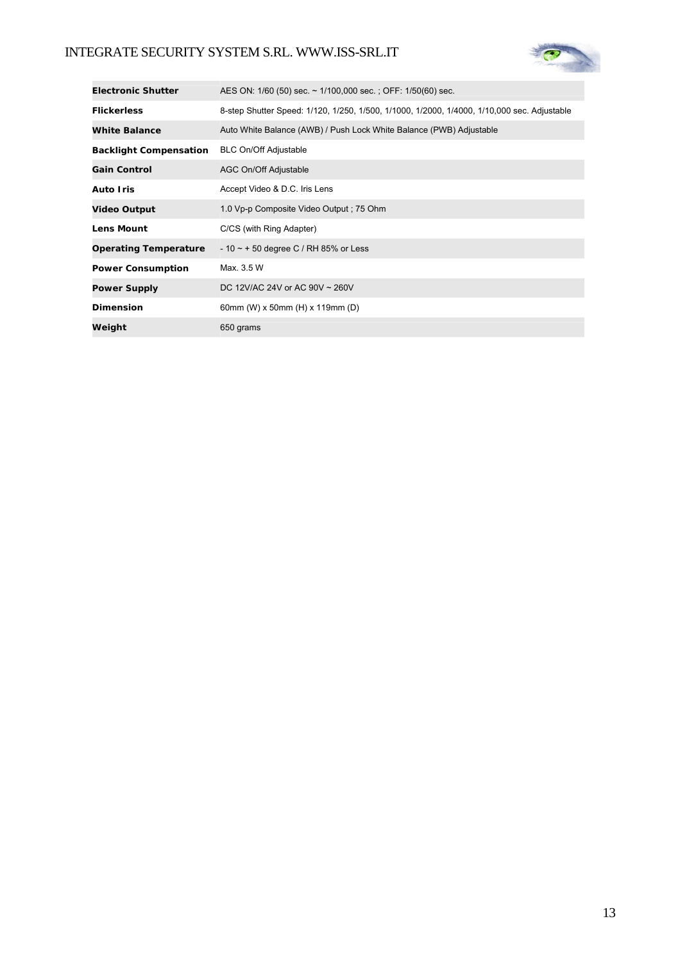### INTEGRATE SECURITY SYSTEM S.RL. WWW.ISS-SRL.IT



| <b>Electronic Shutter</b>     | AES ON: 1/60 (50) sec. ~ 1/100,000 sec.; OFF: 1/50(60) sec.                                 |
|-------------------------------|---------------------------------------------------------------------------------------------|
| <b>Flickerless</b>            | 8-step Shutter Speed: 1/120, 1/250, 1/500, 1/1000, 1/2000, 1/4000, 1/10,000 sec. Adjustable |
| <b>White Balance</b>          | Auto White Balance (AWB) / Push Lock White Balance (PWB) Adjustable                         |
| <b>Backlight Compensation</b> | <b>BLC On/Off Adjustable</b>                                                                |
| <b>Gain Control</b>           | AGC On/Off Adjustable                                                                       |
| <b>Auto Iris</b>              | Accept Video & D.C. Iris Lens                                                               |
| <b>Video Output</b>           | 1.0 Vp-p Composite Video Output : 75 Ohm                                                    |
| <b>Lens Mount</b>             | C/CS (with Ring Adapter)                                                                    |
| <b>Operating Temperature</b>  | $-10 \sim +50$ degree C / RH 85% or Less                                                    |
| <b>Power Consumption</b>      | Max. 3.5 W                                                                                  |
| <b>Power Supply</b>           | DC 12V/AC 24V or AC 90V ~ 260V                                                              |
| <b>Dimension</b>              | 60mm (W) x 50mm (H) x 119mm (D)                                                             |
| Weight                        | 650 grams                                                                                   |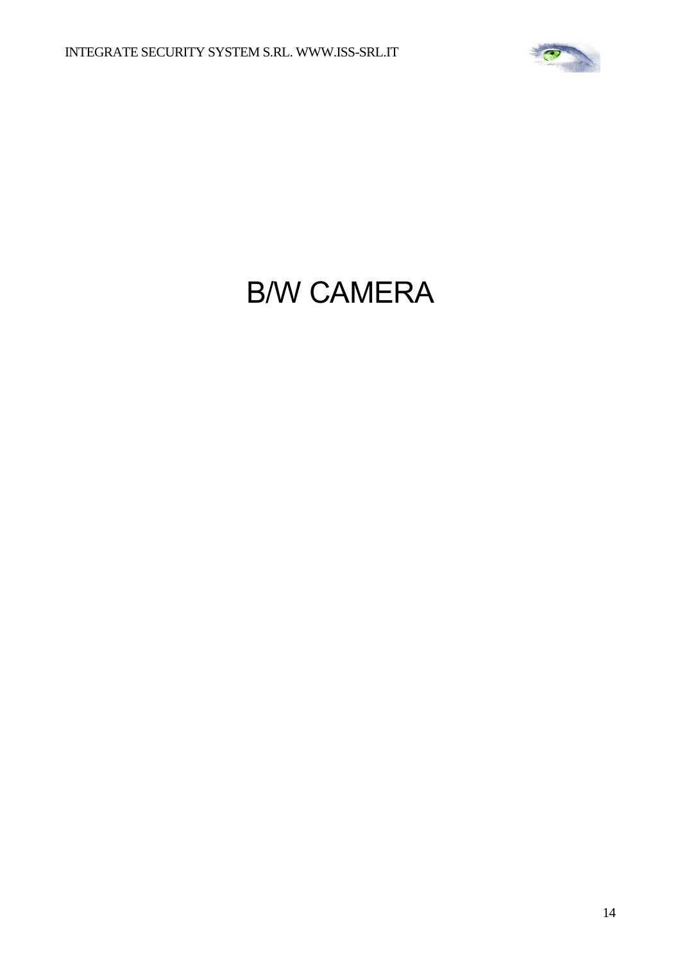

# B/W CAMERA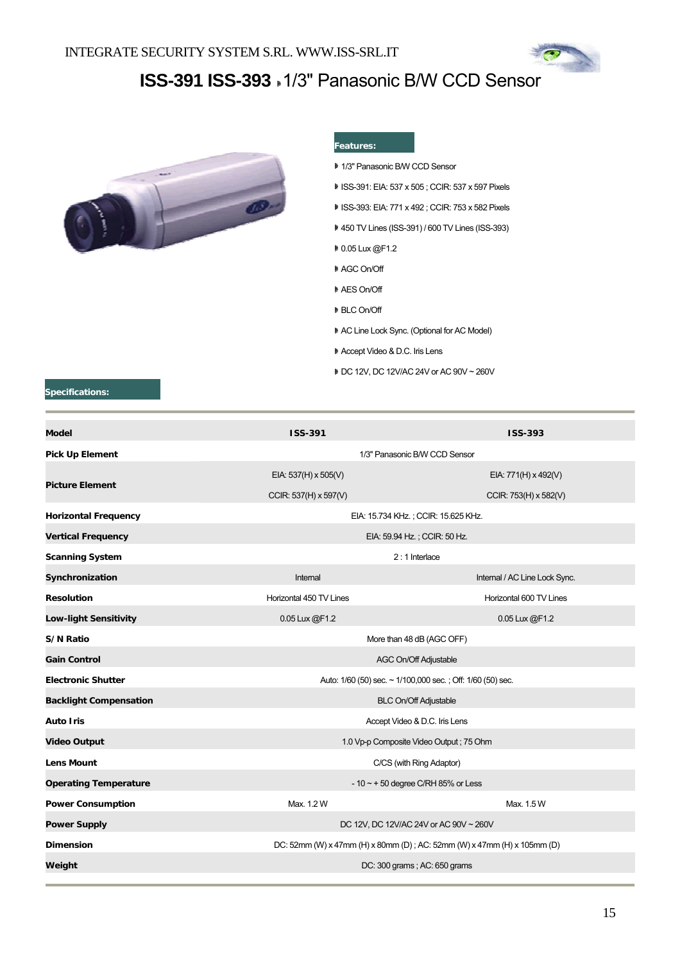

# **ISS-391 ISS-393** 1/3" Panasonic B/W CCD Sensor



#### **Features:**

- 1/3" Panasonic B/W CCD Sensor
- ISS-391: EIA: 537 x 505 ; CCIR: 537 x 597 Pixels
- ISS-393: EIA: 771 x 492 ; CCIR: 753 x 582 Pixels
- 450 TV Lines (ISS-391) / 600 TV Lines (ISS-393)
- 0.05 Lux @F1.2
- AGC On/Off
- AES On/Off
- BLC On/Off
- AC Line Lock Sync. (Optional for AC Model)
- Accept Video & D.C. Iris Lens
- DC 12V, DC 12V/AC 24V or AC 90V ~ 260V

| <b>ISS-391</b>                                                           | <b>ISS-393</b>                |  |
|--------------------------------------------------------------------------|-------------------------------|--|
| 1/3" Panasonic B/W CCD Sensor                                            |                               |  |
| EIA: 537(H) x 505(V)                                                     | EIA: 771(H) x 492(V)          |  |
| CCIR: 537(H) x 597(V)                                                    | CCIR: 753(H) x 582(V)         |  |
| EIA: 15.734 KHz.; CCIR: 15.625 KHz.                                      |                               |  |
| EIA: 59.94 Hz.; CCIR: 50 Hz.                                             |                               |  |
| $2:1$ Interlace                                                          |                               |  |
| Internal                                                                 | Internal / AC Line Lock Sync. |  |
| Horizontal 450 TV Lines                                                  | Horizontal 600 TV Lines       |  |
| 0.05 Lux @F1.2                                                           | 0.05 Lux @F1.2                |  |
| More than 48 dB (AGC OFF)                                                |                               |  |
| <b>AGC On/Off Adjustable</b>                                             |                               |  |
| Auto: 1/60 (50) sec. ~ 1/100,000 sec.; Off: 1/60 (50) sec.               |                               |  |
| <b>BLC On/Off Adjustable</b>                                             |                               |  |
| Accept Video & D.C. Iris Lens                                            |                               |  |
| 1.0 Vp-p Composite Video Output; 75 Ohm                                  |                               |  |
| C/CS (with Ring Adaptor)                                                 |                               |  |
| $-10 \sim +50$ degree C/RH 85% or Less                                   |                               |  |
| Max. 1.2 W                                                               | Max. 1.5 W                    |  |
| DC 12V, DC 12V/AC 24V or AC 90V ~ 260V                                   |                               |  |
| DC: 52mm (W) x 47mm (H) x 80mm (D) ; AC: 52mm (W) x 47mm (H) x 105mm (D) |                               |  |
| DC: 300 grams; AC: 650 grams                                             |                               |  |
|                                                                          |                               |  |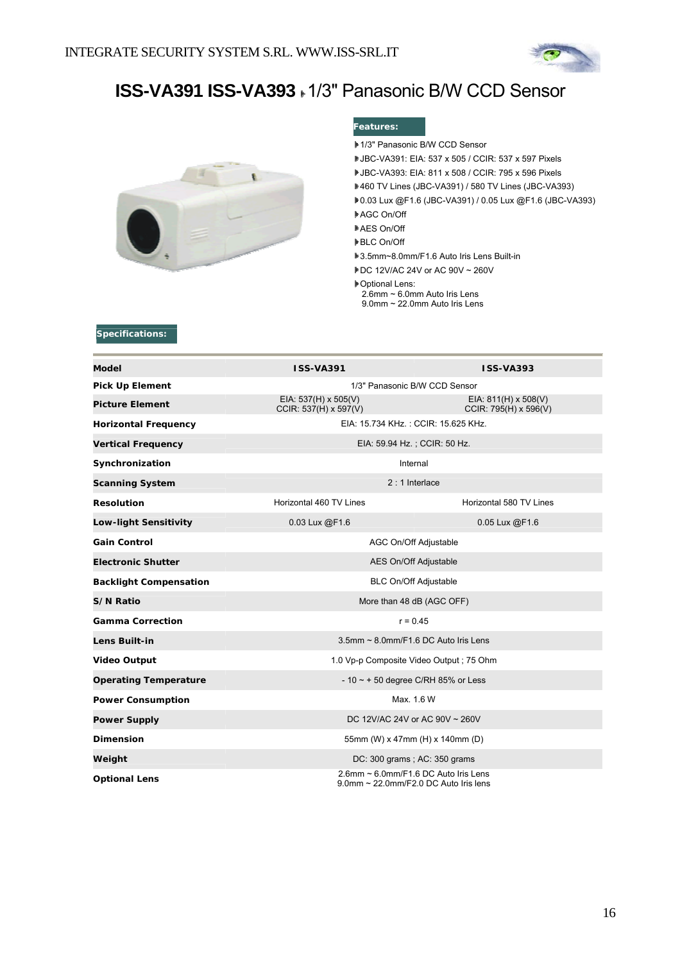

# **ISS-VA391 ISS-VA393** 1/3" Panasonic B/W CCD Sensor



#### **Features:**

- 1/3" Panasonic B/W CCD Sensor
- JBC-VA391: EIA: 537 x 505 / CCIR: 537 x 597 Pixels
- JBC-VA393: EIA: 811 x 508 / CCIR: 795 x 596 Pixels
- 460 TV Lines (JBC-VA391) / 580 TV Lines (JBC-VA393)
- 0.03 Lux @F1.6 (JBC-VA391) / 0.05 Lux @F1.6 (JBC-VA393)
- AGC On/Off
- AES On/Off
- **▶BLC On/Off**
- 3.5mm~8.0mm/F1.6 Auto Iris Lens Built-in
- DC 12V/AC 24V or AC 90V ~ 260V
- Optional Lens:
- 2.6mm ~ 6.0mm Auto Iris Lens
- 9.0mm ~ 22.0mm Auto Iris Lens

| Model                         | <b>ISS-VA391</b>                                                              | <b>ISS-VA393</b>                                     |  |
|-------------------------------|-------------------------------------------------------------------------------|------------------------------------------------------|--|
| <b>Pick Up Element</b>        | 1/3" Panasonic B/W CCD Sensor                                                 |                                                      |  |
| <b>Picture Element</b>        | EIA: $537(H) \times 505(V)$<br>CCIR: 537(H) x 597(V)                          | EIA: $811(H) \times 508(V)$<br>CCIR: 795(H) x 596(V) |  |
| <b>Horizontal Frequency</b>   | EIA: 15.734 KHz.: CCIR: 15.625 KHz.                                           |                                                      |  |
| <b>Vertical Frequency</b>     | EIA: 59.94 Hz.; CCIR: 50 Hz.                                                  |                                                      |  |
| Synchronization               | Internal                                                                      |                                                      |  |
| <b>Scanning System</b>        | $2:1$ Interlace                                                               |                                                      |  |
| <b>Resolution</b>             | Horizontal 460 TV Lines                                                       | Horizontal 580 TV Lines                              |  |
| <b>Low-light Sensitivity</b>  | 0.03 Lux @F1.6                                                                | 0.05 Lux @F1.6                                       |  |
| <b>Gain Control</b>           | AGC On/Off Adjustable                                                         |                                                      |  |
| <b>Electronic Shutter</b>     | AES On/Off Adjustable                                                         |                                                      |  |
| <b>Backlight Compensation</b> | <b>BLC On/Off Adjustable</b>                                                  |                                                      |  |
| S/N Ratio                     | More than 48 dB (AGC OFF)                                                     |                                                      |  |
| <b>Gamma Correction</b>       | $r = 0.45$                                                                    |                                                      |  |
| <b>Lens Built-in</b>          | $3.5$ mm ~ $8.0$ mm/F1.6 DC Auto Iris Lens                                    |                                                      |  |
| <b>Video Output</b>           | 1.0 Vp-p Composite Video Output; 75 Ohm                                       |                                                      |  |
| <b>Operating Temperature</b>  | - 10 $\sim$ + 50 degree C/RH 85% or Less                                      |                                                      |  |
| <b>Power Consumption</b>      | Max. 1.6 W                                                                    |                                                      |  |
| <b>Power Supply</b>           | DC 12V/AC 24V or AC 90V ~ 260V                                                |                                                      |  |
| <b>Dimension</b>              | 55mm (W) x 47mm (H) x 140mm (D)                                               |                                                      |  |
| Weight                        | DC: 300 grams; AC: 350 grams                                                  |                                                      |  |
| <b>Optional Lens</b>          | 2.6mm ~ 6.0mm/F1.6 DC Auto Iris Lens<br>9.0mm ~ 22.0mm/F2.0 DC Auto Iris lens |                                                      |  |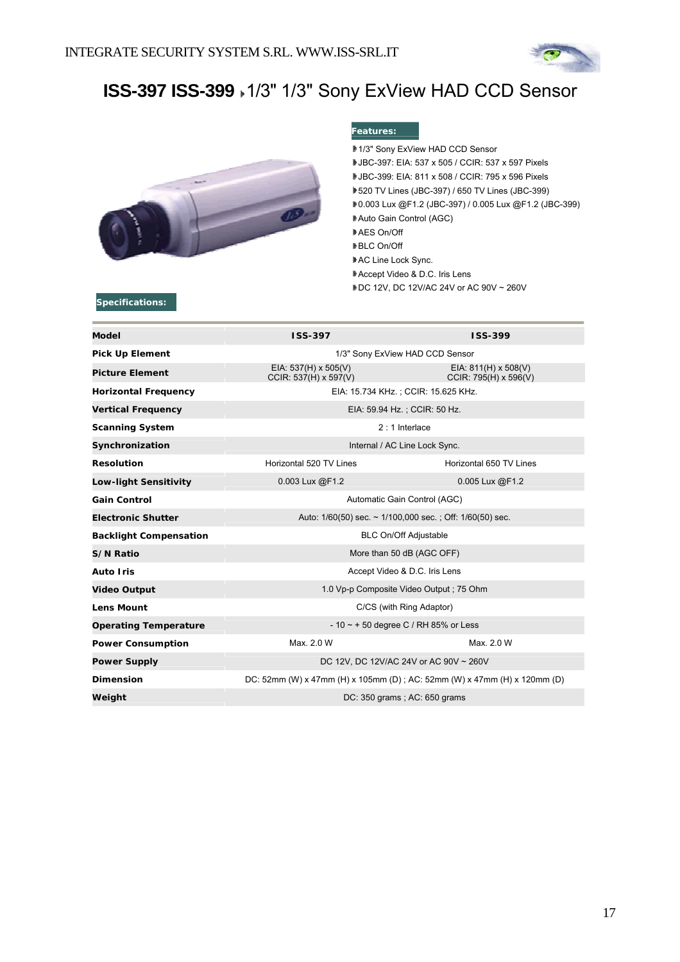

# **ISS-397 ISS-399** 1/3" 1/3" Sony ExView HAD CCD Sensor



#### **Features:**

- 1/3" Sony ExView HAD CCD Sensor
- JBC-397: EIA: 537 x 505 / CCIR: 537 x 597 Pixels
- JBC-399: EIA: 811 x 508 / CCIR: 795 x 596 Pixels
- 520 TV Lines (JBC-397) / 650 TV Lines (JBC-399)
- 0.003 Lux @F1.2 (JBC-397) / 0.005 Lux @F1.2 (JBC-399)
- Auto Gain Control (AGC)
- AES On/Off
- **▶BLC On/Off**
- AC Line Lock Sync.
- Accept Video & D.C. Iris Lens
- DC 12V, DC 12V/AC 24V or AC 90V ~ 260V

| <b>Model</b>                  | ISS-397                                                                   | <b>ISS-399</b>                                       |  |
|-------------------------------|---------------------------------------------------------------------------|------------------------------------------------------|--|
| <b>Pick Up Element</b>        | 1/3" Sony ExView HAD CCD Sensor                                           |                                                      |  |
| <b>Picture Element</b>        | EIA: $537(H) \times 505(V)$<br>CCIR: 537(H) x 597(V)                      | EIA: $811(H) \times 508(V)$<br>CCIR: 795(H) x 596(V) |  |
| <b>Horizontal Frequency</b>   | EIA: 15.734 KHz.; CCIR: 15.625 KHz.                                       |                                                      |  |
| <b>Vertical Frequency</b>     | EIA: 59.94 Hz.; CCIR: 50 Hz.                                              |                                                      |  |
| <b>Scanning System</b>        | $2:1$ Interlace                                                           |                                                      |  |
| Synchronization               | Internal / AC Line Lock Sync.                                             |                                                      |  |
| <b>Resolution</b>             | Horizontal 520 TV Lines                                                   | Horizontal 650 TV Lines                              |  |
| <b>Low-light Sensitivity</b>  | 0.003 Lux @F1.2                                                           | 0.005 Lux @F1.2                                      |  |
| <b>Gain Control</b>           | Automatic Gain Control (AGC)                                              |                                                      |  |
| <b>Electronic Shutter</b>     | Auto: $1/60(50)$ sec. $\sim 1/100,000$ sec.; Off: $1/60(50)$ sec.         |                                                      |  |
| <b>Backlight Compensation</b> | <b>BLC On/Off Adjustable</b>                                              |                                                      |  |
| S/N Ratio                     | More than 50 dB (AGC OFF)                                                 |                                                      |  |
| <b>Auto Iris</b>              | Accept Video & D.C. Iris Lens                                             |                                                      |  |
| <b>Video Output</b>           | 1.0 Vp-p Composite Video Output : 75 Ohm                                  |                                                      |  |
| <b>Lens Mount</b>             | C/CS (with Ring Adaptor)                                                  |                                                      |  |
| <b>Operating Temperature</b>  | - 10 $\sim$ + 50 degree C / RH 85% or Less                                |                                                      |  |
| <b>Power Consumption</b>      | Max. 2.0 W                                                                | Max. 2.0 W                                           |  |
| <b>Power Supply</b>           | DC 12V, DC 12V/AC 24V or AC 90V ~ 260V                                    |                                                      |  |
| <b>Dimension</b>              | DC: 52mm (W) x 47mm (H) x 105mm (D) ; AC: 52mm (W) x 47mm (H) x 120mm (D) |                                                      |  |
| Weight                        | DC: 350 grams; AC: 650 grams                                              |                                                      |  |